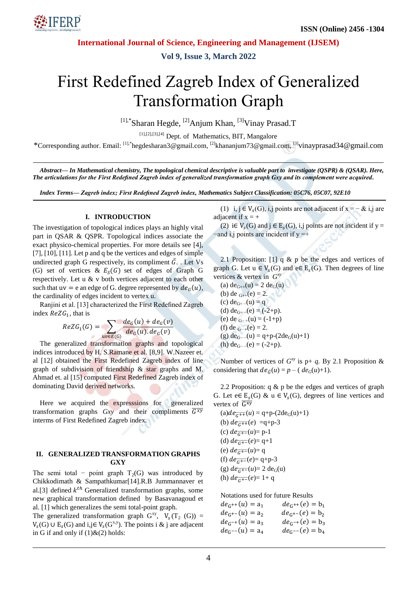

**Vol 9, Issue 3, March 2022**

# First Redefined Zagreb Index of Generalized Transformation Graph

<sup>[1],\*</sup>Sharan Hegde, <sup>[2]</sup>Anjum Khan, <sup>[3]</sup>Vinay Prasad.T

[1],[2],[3],[4] Dept. of Mathematics, BIT, Mangalore

\*Corresponding author. Email: [1],\*hegdesharan3@gmail.com, [2]khananjum73@gmail.com, [3]vinayprasad34@gmail.com

*Abstract— In Mathematical chemistry, The topological chemical descriptive is valuable part to investigate (QSPR) & (QSAR). Here, The articulations for the First Redefined Zagreb index of generalized transformation graph Gxy and its complement were acquired.*

*Index Terms— Zagreb index; First Redefined Zagreb index, Mathematics Subject Classification: 05C76, 05C07, 92E10*

#### **I. INTRODUCTION**

The investigation of topological indices plays an highly vital part in QSAR & QSPR. Topological indices associate the exact physico-chemical properties. For more details see [4], [7], [10], [11]. Let p and q be the vertices and edges of simple undirected graph G respectively, its compliment  $\bar{G}$ . Let Vs (G) set of vertices &  $E_S(G)$  set of edges of Graph G respectively. Let u & v both vertices adjacent to each other such that  $uv = e$  an edge of G. degree represented by  $de_G(u)$ , the cardinality of edges incident to vertex u.

Ranjini et al. [13] characterized the First Redefined Zagreb index  $ReZG_1$ , that is

$$
ReZG_1(G) = \sum_{uv \in E(G)} \frac{de_G(u) + de_G(v)}{de_G(u).de_G(v)}
$$

The generalized transformation graphs and topological indices introduced by H. S.Ramane et al. [8,9]. W.Nazeer et. al [12] obtained the First Redefined Zagreb index of line graph of subdivision of friendship & star graphs and M. Ahmad et. al [15] computed First Redefined Zagreb index of dominating David derived networks.

Here we acquired the expresssions for generalized transformation graphs  $Gxy$  and their compliments  $\overline{G^{xy}}$ interms of First Redefined Zagreb index.

#### **II. GENERALIZED TRANSFORMATION GRAPHS GXY**

The semi total – point graph  $T_2(G)$  was introduced by Chikkodimath & Sampathkumar[14].R.B Jummannaver et al.[3] defined  $k^{th}$  Generalized transformation graphs, some new graphical transformation defined by Basavanagoud et al. [1] which generalizes the semi total-point graph.

The generalized transformation graph  $G^{xy}$ ,  $V_s(T_2(G))$  =  $V_s(G) \cup E_s(G)$  and  $i, j \in V_s(G^{x,y})$ . The points i & j are adjacent in G if and only if  $(1)$  &  $(2)$  holds:

(1) i, j  $\in V_s(G)$ , i,j points are not adjacent if  $x = -\&$  i,j are adjacent if  $x = +$ 

(2) i $\in V_s(G)$  and  $j \in E_s(G)$ , i,j points are not incident if y = -and i,j points are incident if  $y = +$ 

2.1 Proposition: [1]  $q \& p$  be the edges and vertices of graph G. Let  $u \in V_s(G)$  and  $e \in E_s(G)$ . Then degrees of line vertices & vertex in  $G^{(x)}$ 

(a)  $de_{G++}(u) = 2$   $de_G(u)$ (b) de  $_{G++}(e) = 2$ . (c)  $de_{G^+}$  –(u) = q (d)  $de_{G^+}$  –(e) = (-2+p). (e) de  $_{G-+}(u) = (-1+p)$ (f) de  $_{G^-}(e) = 2$ . (g)  $de_{G^-}(u) = q+p-(2de_G(u)+1)$ (h)  $de_{G-}(e) = (-2+p)$ .

Number of vertices of  $G^{xy}$  is p+ *q*. By 2.1 Proposition & considering that  $de_{\overline{G}}(u) = p - (de_G(u)+1)$ .

2.2 Proposition:  $q \& p$  be the edges and vertices of graph G. Let  $e \in E_s(G)$  & u  $\in V_s(G)$ , degrees of line vertices and vertex of  $\overline{G^{xy}}$ 

 $(a) de_{\overline{G^{++}}}(u) = q+p-(2de_G(u)+1)$ (b)  $de_{\overline{c}+f}(e) = q+p-3$ (c)  $de_{\overline{G^{+}}}(u) = p-1$ (d)  $de_{\overline{G^{+-}}}(e) = q+1$ (e)  $de_{\vec{G}}(u) = q$ (f)  $de_{\overline{G+}}(e) = q+p-3$ (g)  $de_{G^{+-}}(u) = 2 \text{ de}_G(u)$ (h)  $de_{\overline{G^{+-}}}(e) = 1 + q$ 

Notations used for future Results

 $de_G$ +  $de_{G^{++}}(e) = b_1$  $de_G^+$  $de_{G^{+-}}(e) = b_2$  $de_G$  $de_{G^{-+}}(e) = b_3$  $de_G$  $de_G-(e) = b_4$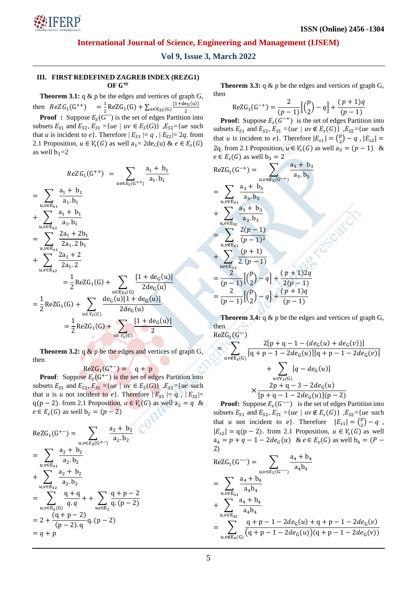**Vol 9, Issue 3, March 2022**

## **III. FIRST REDEFINED ZAGREB INDEX (REZG1) OF**

**Theorem 3.1:**  $q \& p$  be the edges and vertices of graph G, then  $ReZG_1(G^+)$  $\mathbf{1}$  $\frac{1}{2}$ ReZG<sub>1</sub>(G) +  $\sum_{u \in E_{S2}(G)}$ <sup>[</sup>  $u \in E_{S2}(G)$  2

**Proof** : Suppose  $E_S(G^{+})$  is the set of edges Partition into subsets  $E_{S1}$  and  $E_{S2}$ ,  $E_{S1} = \{ue \mid uv \in E_S(G)\}\;$ ,  $E_{S2} = \{ue \text{ such }$ that *u* is incident to *e*. Therefore  $|E_{S_1}| = q$ ,  $|E_{S_2}| = 2q$ . from 2.1 Proposition,  $u \in V_s(G)$  as well  $a_1 = 2de_G(u) \& e \in E_s(G)$ as well  $b_1 = 2$ 

$$
ReZG_1(G^{++}) = \sum_{uv \in E_S(G^{++})} \frac{a_1 + b_1}{a_1 \cdot b_1}
$$
  
= 
$$
\sum_{u,v \in E_{S1}} \frac{a_1 + b_1}{a_1 \cdot b_1}
$$
  
+ 
$$
\sum_{u,e \in E_{S2}} \frac{2a_1 + b_1}{2a_1 \cdot b_1}
$$
  
= 
$$
\sum_{u,v \in E_{S1}} \frac{2a_1 + 2b_1}{2a_1 \cdot 2 b_1}
$$
  
+ 
$$
\sum_{u,e \in E_{S2}} \frac{2a_1 + 2}{2a_1 \cdot 2}
$$
  
= 
$$
\frac{1}{2} ReZG_1(G) + \sum_{u \in E_{S2}(G)} \frac{[1 + de_G(u)]}{2de_G(u)}
$$
  
= 
$$
\frac{1}{2} ReZG_1(G) + \sum_{u \in V_S(G)} \frac{de_G(u)[1 + de_G(u)]}{2de_G(u)}
$$
  
= 
$$
\frac{1}{2} ReZG_1(G) + \sum_{u \in V_S(G)} \frac{[1 + de_G(u)]}{2}
$$

**Theorem 3.2:**  $q \& p$  be the edges and vertices of graph G, then

 $ReZG_1(G^+)$ 

**Proof**: Suppose  $E_S(G^{+-})$  is the set of edges Partition into subsets  $E_{S1}$  and  $E_{S2}$ ,  $E_{S1} = \{ue \mid uv \in E_S(G)\}\;$ ,  $E_{S2} = \{ue \text{ such }$ that *u* is *u* not incident to *e*. Therefore  $|E_{s_1}| = q$ ,  $|E_{s_2}| =$  $q(p-2)$ . from 2.1 Proposition,  $u \in V_s(G)$  as well  $a_2 = q \&$  $e \in E<sub>s</sub>(G)$  as well  $b<sub>2</sub> = (p-2)$ 

ReZG<sub>1</sub>(G<sup>+-</sup>) = 
$$
\sum_{u,v \in E_S(G^{+-})} \frac{a_2 + b_2}{a_2 \cdot b_2}
$$
  
= 
$$
\sum_{u,v \in E_{S1}} \frac{a_2 + b_2}{a_2 \cdot b_2}
$$
  
+ 
$$
\sum_{u,e \in E_{S2}} \frac{a_2 + b_2}{a_2 \cdot b_2}
$$
  
= 
$$
\sum_{u,v \in E_S(G)} \frac{q + q}{q \cdot q} + \sum_{u,e \in E_2} \frac{q + p - 2}{q \cdot (p - 2)}
$$
  
= 
$$
2 + \frac{(q + p - 2)}{(p - 2) \cdot q} q \cdot (p - 2)
$$
  
= 
$$
q + p
$$

**Theorem 3.3:** q & p be the edges and vertices of graph G, then

$$
ReZG_1(G^{-+}) = \frac{2}{(p-1)} \left[ \binom{p}{2} - q \right] + \frac{(p+1)q}{(p-1)}
$$

**Proof:** Suppose  $E_s(G^{-+})$  is the set of edges Partition into subsets  $E_{S1}$  and  $E_{S2}$ ,  $E_{S1} = \{ue \mid uv \notin E_{S}(G)\}\;$ ,  $E_{S2} = \{ue \text{ such }$ that *u* is incident to *e*}. Therefore  $|E_{s1}| = {p \choose 2}$  $\binom{p}{2} - q$ ,  $|E_{s2}|$ 2q. from 2.1 Proposition,  $u \in V_s(G)$  as well  $a_3 = (p - 1)$  &  $e \in E<sub>s</sub>(G)$  as well  $b<sub>3</sub> = 2$ 

$$
ReZG_1(G^{-+}) = \sum_{u,v \in E_S(G^{-+})} \frac{a_3 + b_3}{a_3 \cdot b_3}
$$
  
= 
$$
\sum_{u,v \in E_{S1}} \frac{a_3 + b_3}{a_3 \cdot b_3}
$$
  
+ 
$$
\sum_{u,e \in E_{S2}} \frac{a_3 + b_3}{a_3 \cdot b_3}
$$
  
= 
$$
\sum_{u,v \notin E_{S1}} \frac{2(p-1)}{(p-1)^2}
$$
  
+ 
$$
\sum_{u \in E_{S2}} \frac{(p+1)}{2 \cdot (p-1)}
$$
  
= 
$$
\frac{2}{(p-1)} [(\frac{p}{2}) - q] + \frac{(p+1)2q}{2(p-1)}
$$
  
= 
$$
\frac{2}{(p-1)} [(\frac{p}{2}) - q] + \frac{(p+1)q}{(p-1)}
$$

**Theorem 3.4:** q & p be the edges and vertices of graph G, then

$$
ReZG_1(G^-)
$$
\n
$$
= \sum_{uv \notin E_S(G)} \frac{2[p+q-1 - (de_G(u) + de_G(v))]}{[q+p-1 - 2de_G(u)][q+p-1 - 2de_G(v)]}
$$
\n
$$
+ \sum_{u \in V_S(G)} [q - de_G(u)]
$$
\n
$$
\times \frac{2p+q-3 - 2de_G(u)}{[p+q-1 - 2de_G(u)](p-2)}
$$

**Proof:** Suppose  $E_s(G^{-1})$  is the set of edges Partition into subsets  $E_{S1}$  and  $E_{S2}$ ,  $E_{S1} = \{ue \mid uv \notin E_{S}(G)\}\;$ ,  $E_{S2} = \{ue \text{ such }$ that *u* not incident to *e*}. Therefore  $|E_{s1}| = {p \choose 2}$  $\binom{p}{2} - q$ ,  $|E_{s2}| = q(p-2)$ . from 2.1 Proposition,  $u \in V_s(G)$  as well  $a_4 = p + q - 1 - 2de_G(u)$  &  $e \in E_s(G)$  as well  $2)$ 

$$
ReZG_1(G^-) = \sum_{u,v \in E_S(G^-)} \frac{a_4 + b_4}{a_4 b_4}
$$
  
= 
$$
\sum_{u,v \in E_{S1}} \frac{a_4 + b_4}{a_4 b_4}
$$
  
+ 
$$
\sum_{u,e \in E_{S2}} \frac{a_4 + b_4}{a_4 b_4}
$$
  
= 
$$
\sum_{u,v \notin E_S(G)} \frac{q + p - 1 - 2de_G(u) + q + p - 1 - 2de_G(v)}{(q + p - 1 - 2de_G(u))(q + p - 1 - 2de_G(v))}
$$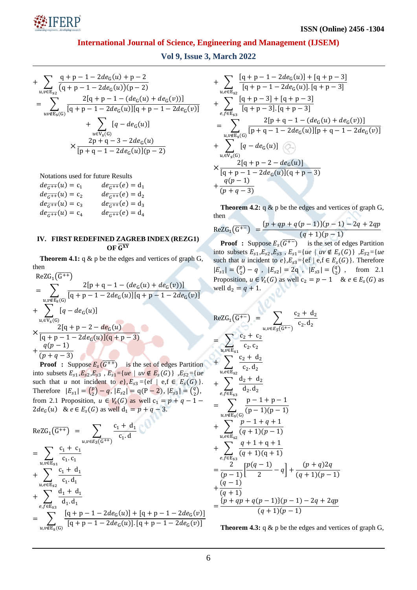

**Vol 9, Issue 3, March 2022**

+ 
$$
\sum_{u,v \in E_{S2}} \frac{q+p-1-2de_G(u)+p-2}{(q+p-1-2de_G(u))(p-2)}
$$
  
= 
$$
\sum_{uv \notin E_S(G)} \frac{2[q+p-1-(de_G(u)+de_G(v))]}{[q+p-1-2de_G(u)][q+p-1-2de_G(v)]}
$$
  
+ 
$$
\sum_{u \in V_S(G)} [q-de_G(u)]
$$
  

$$
\times \frac{2p+q-3-2de_G(u)}{[p+q-1-2de_G(u)](p-2)}
$$

Notations used for future Results

| $de_{\overline{G^{++}}}(u) = c_1$ | $de_{\overline{G^{++}}}(e) = d_1$ |
|-----------------------------------|-----------------------------------|
| $de_{\overline{G++}}(u) = c_2$    | $de_{\overline{G++}}(e) = d_2$    |
| $de_{\overline{G^{++}}}(u) = c_3$ | $de_{\overline{G^{++}}}(e) = d_3$ |
| $de_{G^{++}}(u) = c_4$            | $de_{G^{++}}(e) = d_4$            |

#### **IV. FIRST REDEFINED ZAGREB INDEX (REZG1)**  $OF<sub>G</sub><sub>XY</sub>$

**Theorem 4.1:** q & p be the edges and vertices of graph G, then  $\sqrt{2}$ 

$$
ReZG_1(G^{++})
$$
\n
$$
= \sum_{u,v \notin E_S(G)} \frac{2[p+q-1 - (de_G(u) + de_G(v))]}{[q+p-1 - 2de_G(u)][q+p-1 - 2de_G(v)]}
$$
\n
$$
+ \sum_{u \in V_S(G)} [q - de_G(u)]
$$
\n
$$
\times \frac{2[q+p-2 - de_G(u)]}{[q+p-1 - 2de_G(u)](q+p-3)}
$$
\n
$$
+ \frac{q(p-1)}{(p+q-3)}
$$

**Proof** : Suppose  $E_s(\overline{G^{++}})$  is the set of edges Partition into subsets  $E_{s1}$ ,  $E_{s2}$ ,  $E_{s3}$ ,  $E_{s1}$  ={*ue* | *uv*  $\notin E_s(G)$ },  $E_{s2}$  ={*ue* such that *u* not incident to  $e$ ,  $E_{s3} = \{ef \mid ef \in E_s(G)\}\.$ Therefore  $|E_{s1}| = {p \choose 2}$  $\binom{p}{2} - q$ ,  $|E_{s2}| = q(P - 2)$ ,  $|E_{s3}| = \binom{q}{2}$  $_{2}^{q}$ ), from 2.1 Proposition,  $u \in V_s(G)$  as well  $c_1 = p + q - 1$  $2de_G(u)$  &  $e \in E_s(G)$  as well

$$
ReZG_{1}(\overline{G^{++}}) = \sum_{u,v \in E_{S}(\overline{G^{++}})} \frac{c_{1} + d_{1}}{c_{1} \cdot d}
$$
  
\n
$$
= \sum_{u,v \in E_{S1}} \frac{c_{1} + c_{1}}{c_{1} \cdot c_{1}} + \sum_{u,e \in E_{S2}} \frac{c_{1} + d_{1}}{c_{1} \cdot d_{1}}
$$
  
\n
$$
+ \sum_{e,f \in E_{S3}} \frac{d_{1} + d_{1}}{d_{1} \cdot d_{1}}
$$
  
\n
$$
= \sum_{u,v \notin E_{S}(\overline{G})} \frac{[q + p - 1 - 2de_{G}(u)] + [q + p - 1 - 2de_{G}(v)]}{[q + p - 1 - 2de_{G}(u)].[q + p - 1 - 2de_{G}(v)]}
$$

+ 
$$
\sum_{u,e \in E_{s2}} \frac{[q+p-1-2de_G(u)]+[q+p-3]}{[q+p-1-2de_G(u)].[q+p-3]} + \sum_{e,f \in E_{s3}} \frac{[q+p-3]+[q+p-3]}{[q+p-3].[q+p-3]} - \sum_{u,v \notin E_s(G)} \frac{2[p+q-1-(de_G(u)+de_G(v))]}{[p+q-1-2de_G(u)][p+q-1-2de_G(v)]} + \sum_{u,\in V_s(G)} [q-de_G(u)] - \sum_{e \in V_s(G)} \frac{2[q+p-2-de_G(u)]}{[q+p-1-2de_G(u)][q+p-3]} + \frac{q(p-1)}{(p+q-3)}
$$

**Theorem 4.2:** q & p be the edges and vertices of graph G, then

$$
ReZG_1(\overline{G^{+-}}) = \frac{\{p+qp+q(p-1)\}(p-1) - 2q + 2qp}{(q+1)(p-1)}
$$

**Proof** : Suppose  $E_s(\overline{G^{+-}})$  is the set of edges Partition into subsets  $E_{s1}, E_{s2}, E_{s3}, E_{s1} = \{ue \mid uv \notin E_s(G)\}\; E_{s2} = \{ue$ such that *u* incident to  $e$ ,  $E_{s3}$ ={ef | e, f  $\in E_s(G)$ }. Therefore  $|E_{s1}| = {p \choose 2}$  $\binom{p}{2} - q$ ,  $|E_{s2}| = 2q$ ,  $|E_{s3}| = \binom{q}{2}$  $\binom{q}{2}$ , from 2.1 Proposition,  $u \in V_s(G)$  as well  $c_2 = p - 1$  &  $e \in E_s(G)$  as well  $d_2 = q + 1$ .

$$
ReZG_1(\overline{G^{+-}}) = \sum_{u,v \in E_S(\overline{G^{+-}})} \frac{c_2 + d_2}{c_2 \cdot d_2}
$$
  
\n
$$
= \sum_{u,v \in E_{S1}} \frac{c_2 + c_2}{c_2 \cdot c_2}
$$
  
\n
$$
+ \sum_{u,e \in E_{S2}} \frac{c_2 + d_2}{c_2 \cdot d_2}
$$
  
\n
$$
+ \sum_{e,f \in E_{S3}} \frac{d_2 + d_2}{d_2 \cdot d_2}
$$
  
\n
$$
= \sum_{u,v \notin E_S(G)} \frac{p - 1 + p - 1}{(p - 1)(p - 1)}
$$
  
\n
$$
+ \sum_{u,e \in E_{S2}} \frac{p - 1 + q + 1}{(q + 1)(p - 1)}
$$
  
\n
$$
+ \sum_{e,f \in E_{S3}} \frac{q + 1 + q + 1}{(q + 1)(q + 1)}
$$
  
\n
$$
= \frac{2}{(p - 1)} \left[ \frac{p(q - 1)}{2} - q \right] + \frac{(p + q)2q}{(q + 1)(p - 1)}
$$
  
\n
$$
+ \frac{(q - 1)}{(q + 1)}
$$
  
\n
$$
= \frac{\{p + qp + q(p - 1)\}(p - 1) - 2q + 2qp}{(q + 1)(p - 1)}
$$

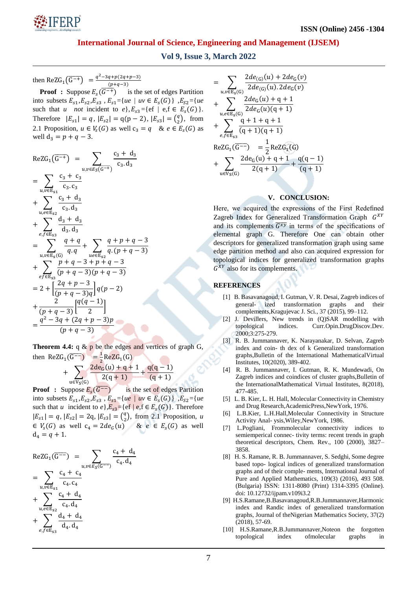

## **Vol 9, Issue 3, March 2022**

then ReZG<sub>1</sub>( $\overline{G^{-+}}$ ) =  $\frac{q^2}{\overline{G}}$ (

**Proof** : Suppose  $E_s(\overline{G^{-+}})$  is the set of edges Partition into subsets  $E_{s1}, E_{s2}, E_{s3}, E_{s1} = \{ue \mid uv \in E_s(G)\}\; E_{s2} = \{ue$ such that *u not* incident to  $e$ ,  $E_{s3} = \{ef \mid e, f \in E_s(G)\}.$ Therefore  $|E_{s1}| = q$ ,  $|E_{s2}| = q(p-2)$ ,  $|E_{s3}| = \binom{q}{3}$  $_{2}^{q}$ ), from 2.1 Proposition,  $u \in V_s(G)$  as well  $c_3 = q$  &  $e \in E_s(G)$  as well  $d_3 = p + q - 3$ .

$$
ReZG_1(\overline{G^{-+}}) = \sum_{u,v \in E_S(\overline{G^{-+}})} \frac{c_3 + d_3}{c_3 \cdot d_3}
$$
  
\n
$$
= \sum_{u,v \in E_{s1}} \frac{c_3 + c_3}{c_3 \cdot c_3}
$$
  
\n
$$
+ \sum_{u,e \in E_{s2}} \frac{c_3 + d_3}{c_3 \cdot d_3}
$$
  
\n
$$
+ \sum_{e,f \in E_{s3}} \frac{d_3 + d_3}{d_3 \cdot d_3}
$$
  
\n
$$
= \sum_{u,v \in E_S(G)} \frac{q + q}{q \cdot q} + \sum_{u \in E_{s2}} \frac{q + p + q - 3}{q \cdot (p + q - 3)}
$$
  
\n
$$
+ \sum_{e f \in E_{s3}} \frac{p + q - 3 + p + q - 3}{(p + q - 3)(p + q - 3)}
$$
  
\n
$$
= 2 + \left[ \frac{2q + p - 3}{(p + q - 3)(p + q - 3)} \right] q(p - 2)
$$
  
\n
$$
+ \frac{2}{(p + q - 3)} \left[ \frac{q(q - 1)}{2} \right]
$$
  
\n
$$
= \frac{q^2 - 3q + (2q + p - 3)p}{(p + q - 3)}
$$

**Theorem 4.4:** q & p be the edges and vertices of graph G, then ReZG<sub>1</sub>( $\overline{G^{-1}}$ ) =  $\frac{1}{2}$  $\frac{1}{2}$ ReZG<sub>1</sub>(

$$
+\sum_{u\in V_S(G)}\frac{2de_G'(u)+q+1}{2(q+1)}+\frac{q(q-1)}{(q+1)}
$$

**Proof** : Suppose  $E_s(\overline{G^{-}})$  is the set of edges Partition into subsets  $E_{s1}$ ,  $E_{s2}$ ,  $E_{s3}$ ,  $E_{s1}$  ={*ue* | *uv*  $\in E_s(G)$ },  $E_{s2}$  ={*ue* such that *u* incident to  $e$ ,  $E_{s3}$ ={ef | e, f  $\in E_s(G)$ }. Therefore  $|E_{s1}| = q, |E_{s2}| = 2q, |E_{s3}| = \binom{q}{3}$  $\binom{q}{2}$ , from 2.1 Proposition, *u*  $\in V_s(G)$  as well  $c_4 = 2de_G(u)$  &  $e \in E_s(G)$  as well  $d_4 = q + 1.$ 

$$
ReZG_1(\overline{G^{-}}) = \sum_{u,v \in E_S(\overline{G^{-}})} \frac{c_4 + d_4}{c_4 \cdot d_4}
$$
  
= 
$$
\sum_{u,v \in E_{S1}} \frac{c_4 + c_4}{c_4 \cdot c_4}
$$
  
+ 
$$
\sum_{u,e \in E_{S2}} \frac{c_4 + d_4}{c_4 \cdot d_4}
$$
  
+ 
$$
\sum_{e,f \in E_{S3}} \frac{d_4 + d_4}{d_4 \cdot d_4}
$$

$$
= \sum_{u,v \in E_S(G)} \frac{2de_{(G)}(u) + 2de_G(v)}{2de_{(G)}(u).2de_G(v)} + \sum_{u,e \in E_S(G)} \frac{2de_G(u) + q + 1}{2de_G(u)(q + 1)} + \sum_{e,f \in E_{S3}} \frac{q + 1 + q + 1}{(q + 1)(q + 1)} ReZG_1(\overline{G^{-}}) = \frac{1}{2}ReZG_1(G) + \sum_{u \in V_S(G)} \frac{2de_G(u) + q + 1}{2(q + 1)} + \frac{q(q - 1)}{(q + 1)}
$$

## **V. CONCLUSION:**

Here, we acquired the expressions of the First Redefined Zagreb Index for Generalized Transformation Graph  $G^X$ and its complements  $\overline{G^{xy}}$  in terms of the specifications of elemental graph G. Therefore One can obtain other descriptors for generalized transformation graph using same edge partition method and also can acquired expression for topological indices for generalized transformation graphs  $G^{XY}$  also for its complements.

#### **REFERENCES**

- [1] B. Basavanagoud, I. Gutman, V. R. Desai, Zagreb indices of general- ized transformation graphs and their complements,Kragujevac J. Sci., 37 (2015), 99–112.
- [2] J. Devillers, New trends in (Q)SAR modelling with topological indices. Curr.Opin.DrugDiscov.Dev. 2000;3:275-279.
- [3] R. B. Jummannaver, K. Narayanakar, D. Selvan, Zagreb index and coin- th dex of k Generalized transformation graphs,Bulletin of the International MathematicalVirtual Institutes, 10(2020), 389-402.
- [4] R. B. Jummannaver, I. Gutman, R. K. Mundewadi, On Zagreb indices and coindices of cluster graphs,Bulletin of the InternationalMathematical Virtual Institutes, 8(2018), 477-485.
- [5] L. B. Kier, L. H. Hall, Molecular Connectivity in Chemistry and Drug Research,AcademicPress,NewYork, 1976.
- [6] L.B.Kier, L.H.Hall,Molecular Connectivity in Structure Activity Anal- ysis,Wiley,NewYork, 1986.
- [7] L.Pogliani, Frommolecular connectivity indices to semiemperical connec- tivity terms: recent trends in graph theoretical descriptors, Chem. Rev., 100 (2000), 3827– 3858.
- [8] H. S. Ramane, R. B. Jummannaver, S. Sedghi, Some degree based topo- logical indices of generalized transformation graphs and of their comple- ments, International Journal of Pure and Applied Mathematics, 109(3) (2016), 493 508. (Bulgaria) ISSN: 1311-8080 (Print) 1314-3395 (Online). doi: 10.12732/ijpam.v109i3.2
- [9] H.S.Ramane,B.Basavanagoud,R.B.Jummannaver,Harmonic index and Randic index of generalized transformation graphs, Journal of theNigerian Mathematics Society, 37(2) (2018), 57-69.
- [10] H.S.Ramane,R.B.Jummannaver,Noteon the forgotten topological index ofmolecular graphs in